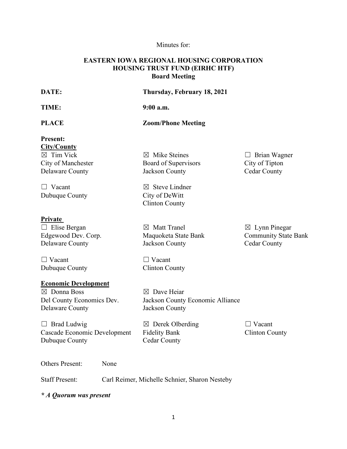## Minutes for:

## **EASTERN IOWA REGIONAL HOUSING CORPORATION HOUSING TRUST FUND (EIRHC HTF) Board Meeting**

| DATE:                                 | Thursday, February 18, 2021      |                             |
|---------------------------------------|----------------------------------|-----------------------------|
| TIME:                                 | $9:00$ a.m.                      |                             |
| <b>PLACE</b>                          | <b>Zoom/Phone Meeting</b>        |                             |
| <b>Present:</b><br><b>City/County</b> |                                  |                             |
| $\boxtimes$ Tim Vick                  | $\boxtimes$ Mike Steines         | $\Box$ Brian Wagner         |
| City of Manchester                    | Board of Supervisors             | City of Tipton              |
| <b>Delaware County</b>                | Jackson County                   | <b>Cedar County</b>         |
| $\Box$ Vacant                         | $\boxtimes$ Steve Lindner        |                             |
| Dubuque County                        | City of DeWitt                   |                             |
|                                       | <b>Clinton County</b>            |                             |
| <b>Private</b>                        |                                  |                             |
| $\Box$ Elise Bergan                   | $\boxtimes$ Matt Tranel          | $\boxtimes$ Lynn Pinegar    |
| Edgewood Dev. Corp.                   | Maquoketa State Bank             | <b>Community State Bank</b> |
| Delaware County                       | Jackson County                   | <b>Cedar County</b>         |
| $\Box$ Vacant                         | $\Box$ Vacant                    |                             |
| Dubuque County                        | <b>Clinton County</b>            |                             |
| <b>Economic Development</b>           |                                  |                             |
| $\boxtimes$ Donna Boss                | $\boxtimes$ Dave Heiar           |                             |
| Del County Economics Dev.             | Jackson County Economic Alliance |                             |
| Delaware County                       | Jackson County                   |                             |
| $\Box$ Brad Ludwig                    | $\boxtimes$ Derek Olberding      | $\Box$ Vacant               |
| Cascade Economic Development          | <b>Fidelity Bank</b>             | <b>Clinton County</b>       |
| Dubuque County                        | <b>Cedar County</b>              |                             |
|                                       |                                  |                             |

Others Present: None

Staff Present: Carl Reimer, Michelle Schnier, Sharon Nesteby

*\* A Quorum was present*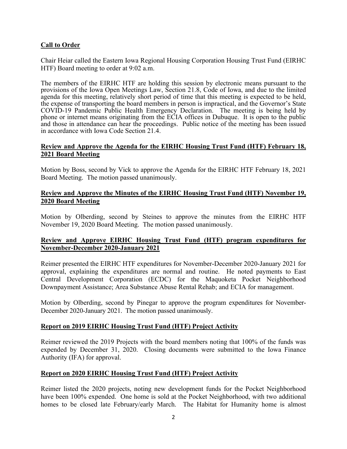## **Call to Order**

Chair Heiar called the Eastern Iowa Regional Housing Corporation Housing Trust Fund (EIRHC HTF) Board meeting to order at 9:02 a.m.

The members of the EIRHC HTF are holding this session by electronic means pursuant to the provisions of the Iowa Open Meetings Law, Section 21.8, Code of Iowa, and due to the limited agenda for this meeting, relatively short period of time that this meeting is expected to be held, the expense of transporting the board members in person is impractical, and the Governor's State COVID-19 Pandemic Public Health Emergency Declaration. The meeting is being held by phone or internet means originating from the ECIA offices in Dubuque. It is open to the public and those in attendance can hear the proceedings. Public notice of the meeting has been issued in accordance with Iowa Code Section 21.4.

#### **Review and Approve the Agenda for the EIRHC Housing Trust Fund (HTF) February 18, 2021 Board Meeting**

Motion by Boss, second by Vick to approve the Agenda for the EIRHC HTF February 18, 2021 Board Meeting. The motion passed unanimously.

#### **Review and Approve the Minutes of the EIRHC Housing Trust Fund (HTF) November 19, 2020 Board Meeting**

Motion by Olberding, second by Steines to approve the minutes from the EIRHC HTF November 19, 2020 Board Meeting. The motion passed unanimously.

#### **Review and Approve EIRHC Housing Trust Fund (HTF) program expenditures for November-December 2020-January 2021**

Reimer presented the EIRHC HTF expenditures for November-December 2020-January 2021 for approval, explaining the expenditures are normal and routine. He noted payments to East Central Development Corporation (ECDC) for the Maquoketa Pocket Neighborhood Downpayment Assistance; Area Substance Abuse Rental Rehab; and ECIA for management.

Motion by Olberding, second by Pinegar to approve the program expenditures for November-December 2020-January 2021. The motion passed unanimously.

#### **Report on 2019 EIRHC Housing Trust Fund (HTF) Project Activity**

Reimer reviewed the 2019 Projects with the board members noting that 100% of the funds was expended by December 31, 2020. Closing documents were submitted to the Iowa Finance Authority (IFA) for approval.

#### **Report on 2020 EIRHC Housing Trust Fund (HTF) Project Activity**

Reimer listed the 2020 projects, noting new development funds for the Pocket Neighborhood have been 100% expended. One home is sold at the Pocket Neighborhood, with two additional homes to be closed late February/early March. The Habitat for Humanity home is almost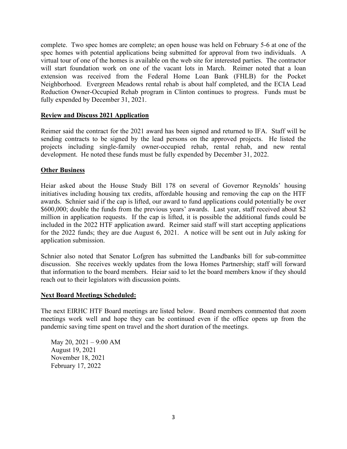complete. Two spec homes are complete; an open house was held on February 5-6 at one of the spec homes with potential applications being submitted for approval from two individuals. A virtual tour of one of the homes is available on the web site for interested parties. The contractor will start foundation work on one of the vacant lots in March. Reimer noted that a loan extension was received from the Federal Home Loan Bank (FHLB) for the Pocket Neighborhood. Evergreen Meadows rental rehab is about half completed, and the ECIA Lead Reduction Owner-Occupied Rehab program in Clinton continues to progress. Funds must be fully expended by December 31, 2021.

#### **Review and Discuss 2021 Application**

Reimer said the contract for the 2021 award has been signed and returned to IFA. Staff will be sending contracts to be signed by the lead persons on the approved projects. He listed the projects including single-family owner-occupied rehab, rental rehab, and new rental development. He noted these funds must be fully expended by December 31, 2022.

#### **Other Business**

Heiar asked about the House Study Bill 178 on several of Governor Reynolds' housing initiatives including housing tax credits, affordable housing and removing the cap on the HTF awards. Schnier said if the cap is lifted, our award to fund applications could potentially be over \$600,000; double the funds from the previous years' awards. Last year, staff received about \$2 million in application requests. If the cap is lifted, it is possible the additional funds could be included in the 2022 HTF application award. Reimer said staff will start accepting applications for the 2022 funds; they are due August 6, 2021. A notice will be sent out in July asking for application submission.

Schnier also noted that Senator Lofgren has submitted the Landbanks bill for sub-committee discussion. She receives weekly updates from the Iowa Homes Partnership; staff will forward that information to the board members. Heiar said to let the board members know if they should reach out to their legislators with discussion points.

#### **Next Board Meetings Scheduled:**

The next EIRHC HTF Board meetings are listed below. Board members commented that zoom meetings work well and hope they can be continued even if the office opens up from the pandemic saving time spent on travel and the short duration of the meetings.

May 20, 2021 – 9:00 AM August 19, 2021 November 18, 2021 February 17, 2022